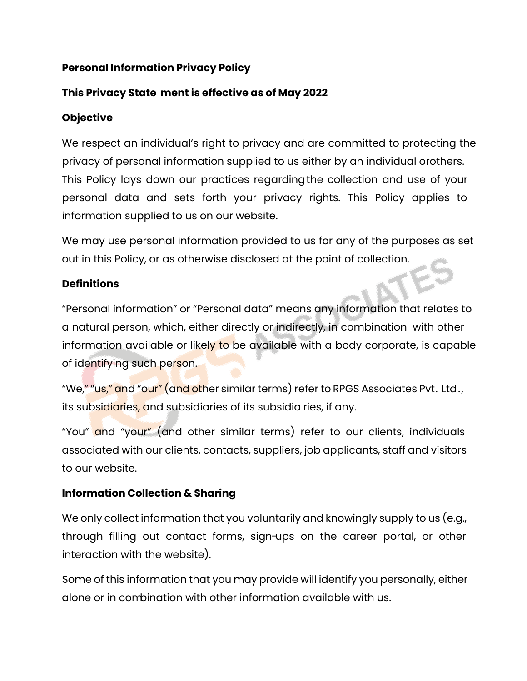## **Personal Information Privacy Policy**

# **This Privacy State ment is effective as of May 2022**

## **Objective**

We respect an individual's right to privacy and are committed to protecting the privacy of personal information supplied to us either by an individual orothers. This Policy lays down our practices regarding the collection and use of your personal data and sets forth your privacy rights. This Policy applies to information supplied to us on our website.

We may use personal information provided to us for any of the purposes as set out in this Policy, or as otherwise disclosed at the point of collection.

## **Definitions**

"Personal information" or "Personal data" means any information that relates to a natural person, which, either directly or indirectly, in combination with other information available or likely to be available with a body corporate, is capable of identifying such person.

"We," "us," and "our" (and other similar terms) refer to RPGS Associates Pvt. Ltd. , its subsidiaries, and subsidiaries of its subsidia ries, if any.

"You" and "your" (and other similar terms) refer to our clients, individuals associated with our clients, contacts, suppliers, job applicants, staff and visitors to our website.

### **Information Collection & Sharing**

We only collect information that you voluntarily and knowingly supply to us (e.g., through filling out contact forms, sign-ups on the career portal, or other interaction with the website).

Some of this information that you may provide will identify you personally, either alone or in combination with other information available with us.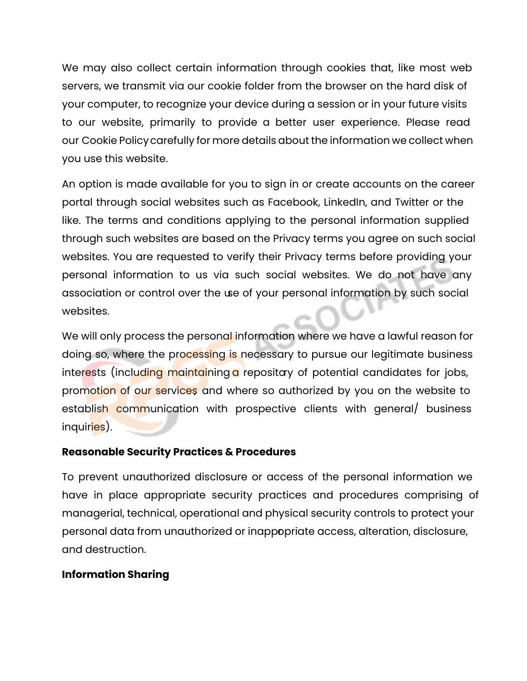We may also collect certain information through cookies that, like most web servers, we transmit via our cookie folder from the browser on the hard disk of your computer, to recognize your device during a session or in your future visits to our website, primarily to provide a better user experience. Please read our Cookie Policycarefully for more details about the information we collect when you use this website.

An option is made available for you to sign in or create accounts on the career portal through social websites such as Facebook, LinkedIn, and Twitter or the like. The terms and conditions applying to the personal information supplied through such websites are based on the Privacy terms you agree on such social websites. You are requested to verify their Privacy terms before providing your personal information to us via such social websites. We do not have any association or control over the use of your personal information by such social websites.

We will only process the personal information where we have a lawful reason for doing so, where the processing is necessary to pursue our legitimate business interests (including maintaining a repositary of potential candidates for jobs, promotion of our services and where so authorized by you on the website to establish communication with prospective clients with general/ business inquiries).

#### **Reasonable Security Practices & Procedures**

To prevent unauthorized disclosure or access of the personal information we have in place appropriate security practices and procedures comprising of managerial, technical, operational and physical security controls to protect your personal data from unauthorized or inappopriate access, alteration, disclosure, and destruction.

### **Information Sharing**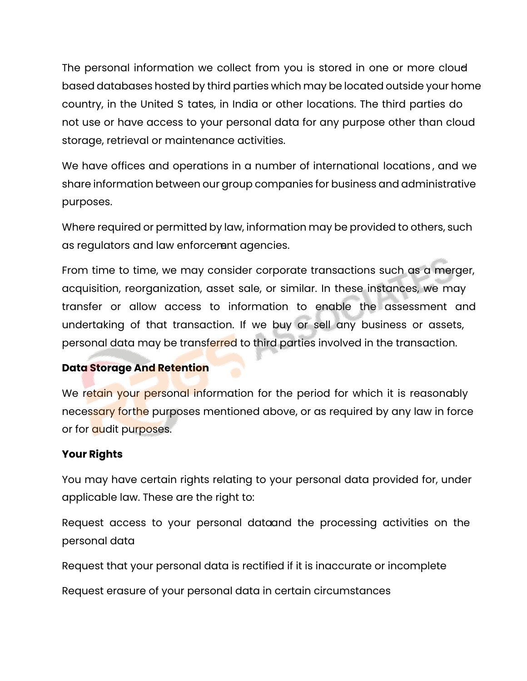The personal information we collect from you is stored in one or more cloudbased databases hosted by third parties which may be located outside your home country, in the United S tates, in India or other locations. The third parties do not use or have access to your personal data for any purpose other than cloud storage, retrieval or maintenance activities.

We have offices and operations in a number of international locations , and we share information between our group companies for business and administrative purposes.

Where required or permitted by law, information may be provided to others, such as regulators and law enforcement agencies.

From time to time, we may consider corporate transactions such as a merger, acquisition, reorganization, asset sale, or similar. In these instances, we may transfer or allow access to information to enable the assessment and undertaking of that transaction. If we buy or sell any business or assets, personal data may be transferred to third parties involved in the transaction.

### **Data Storage And Retention**

We retain your personal information for the period for which it is reasonably necessary for the purposes mentioned above, or as required by any law in force or for **audit** purposes.

#### **Your Rights**

You may have certain rights relating to your personal data provided for, under applicable law. These are the right to:

Request access to your personal dataand the processing activities on the personal data

Request that your personal data is rectified if it is inaccurate or incomplete

Request erasure of your personal data in certain circumstances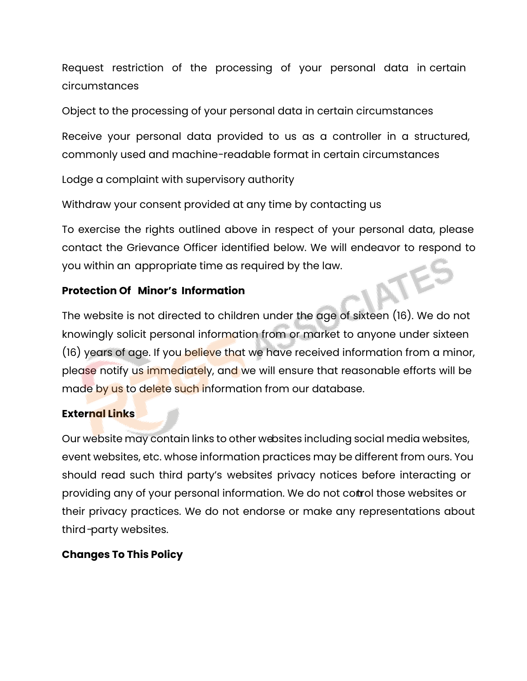Request restriction of the processing of your personal data in certain circumstances

Object to the processing of your personal data in certain circumstances

Receive your personal data provided to us as a controller in a structured, commonly used and machine-readable format in certain circumstances

Lodge a complaint with supervisory authority

Withdraw your consent provided at any time by contacting us

To exercise the rights outlined above in respect of your personal data, please contact the Grievance Officer identified below. We will endeavor to respond to<br>you within an appropriate time as required by the law.<br>**Protection Of Minor's Information** you within an appropriate time as required by the law.

# **Protection Of Minor's Information**

The website is not directed to children under the age of sixteen (16). We do not knowingly solicit personal information from or market to anyone under sixteen (16) years of age. If you believe that we have received information from a minor, please notify us immediately, and we will ensure that reasonable efforts will be made by us to delete such information from our database.

# **External Links**

Our website may contain links to other websites including social media websites, event websites, etc. whose information practices may be different from ours. You should read such third party's websites' privacy notices before interacting or providing any of your personal information. We do not control those websites or their privacy practices. We do not endorse or make any representations about third-party websites.

# **Changes To This Policy**